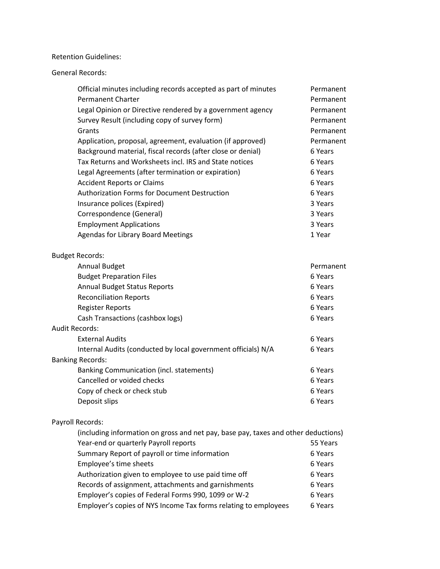Retention Guidelines:

General Records:

| Official minutes including records accepted as part of minutes | Permanent |
|----------------------------------------------------------------|-----------|
| Permanent Charter                                              | Permanent |
| Legal Opinion or Directive rendered by a government agency     | Permanent |
| Survey Result (including copy of survey form)                  | Permanent |
| Grants                                                         | Permanent |
| Application, proposal, agreement, evaluation (if approved)     | Permanent |
| Background material, fiscal records (after close or denial)    | 6 Years   |
| Tax Returns and Worksheets incl. IRS and State notices         | 6 Years   |
| Legal Agreements (after termination or expiration)             | 6 Years   |
| <b>Accident Reports or Claims</b>                              | 6 Years   |
| <b>Authorization Forms for Document Destruction</b>            | 6 Years   |
| Insurance polices (Expired)                                    | 3 Years   |
| Correspondence (General)                                       | 3 Years   |
| <b>Employment Applications</b>                                 | 3 Years   |
| <b>Agendas for Library Board Meetings</b>                      | 1 Year    |
|                                                                |           |

## Budget Records:

| <b>Annual Budget</b>                                          | Permanent |
|---------------------------------------------------------------|-----------|
| <b>Budget Preparation Files</b>                               | 6 Years   |
| <b>Annual Budget Status Reports</b>                           | 6 Years   |
| <b>Reconciliation Reports</b>                                 | 6 Years   |
| <b>Register Reports</b>                                       | 6 Years   |
| Cash Transactions (cashbox logs)                              | 6 Years   |
| Audit Records:                                                |           |
| <b>External Audits</b>                                        | 6 Years   |
| Internal Audits (conducted by local government officials) N/A | 6 Years   |
| <b>Banking Records:</b>                                       |           |
| <b>Banking Communication (incl. statements)</b>               | 6 Years   |
| Cancelled or voided checks                                    | 6 Years   |
| Copy of check or check stub                                   | 6 Years   |
| Deposit slips                                                 | 6 Years   |
|                                                               |           |

## Payroll Records:

| (including information on gross and net pay, base pay, taxes and other deductions) |          |
|------------------------------------------------------------------------------------|----------|
| Year-end or quarterly Payroll reports                                              | 55 Years |
| Summary Report of payroll or time information                                      | 6 Years  |
| Employee's time sheets                                                             | 6 Years  |
| Authorization given to employee to use paid time off                               | 6 Years  |
| Records of assignment, attachments and garnishments                                | 6 Years  |
| Employer's copies of Federal Forms 990, 1099 or W-2                                | 6 Years  |
| Employer's copies of NYS Income Tax forms relating to employees                    | 6 Years  |